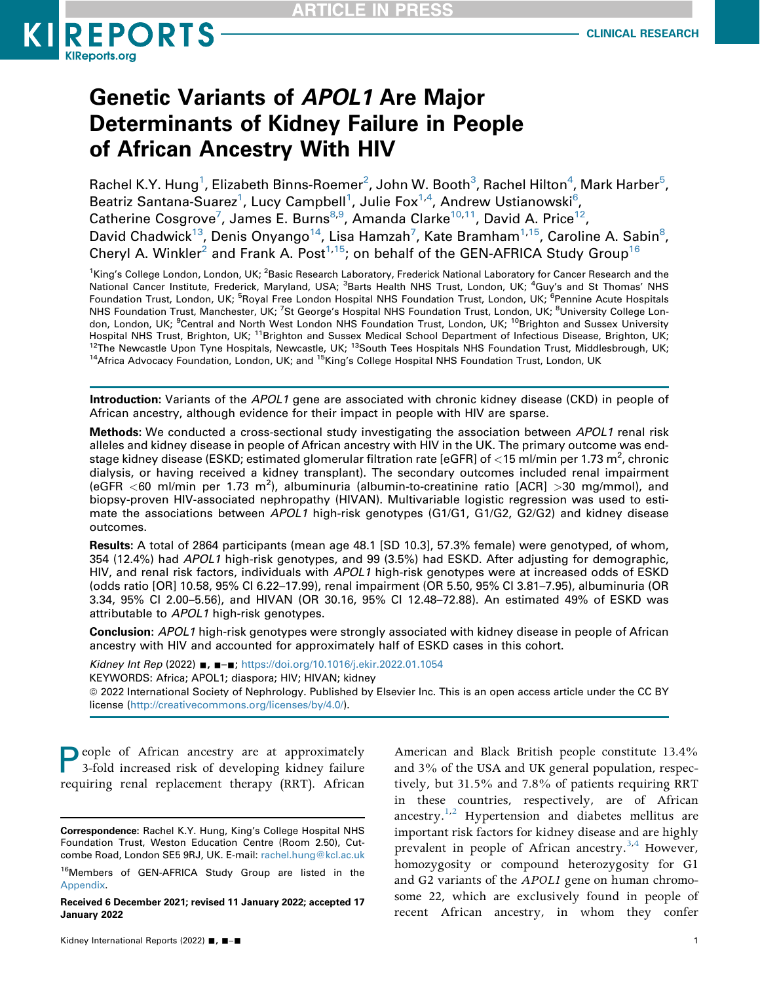

# Genetic Variants of APOL1 Are Major Determinants of Kidney Failure in People of African Ancestry With HIV

Rachel K.Y. Hung $^1$ , Elizabeth Binns-Roemer $^2$  $^2$ , John W. Booth $^3$ , Rachel Hilton $^4$  $^4$ , Mark Harber $^5$  $^5$ , Beatriz Santana-Suarez<sup>[1](#page-0-0)</sup>, Lucy Campbell<sup>1</sup>, Julie Fox<sup>[1,](#page-0-0)[4](#page-0-1)</sup>, Andrew Ustianowski<sup>6</sup>, Catherine Cosgrove<sup>[7](#page-0-3)</sup>, James E. Burns<sup>[8](#page-0-3),[9](#page-0-4)</sup>, Amanda Clarke<sup>[10](#page-0-4)[,11](#page-0-5)</sup>, David A. Price<sup>12</sup>, David Chadwick<sup>13</sup>, Denis Onyango<sup>14</sup>, Lisa Hamzah<sup>[7](#page-0-3)</sup>, Kate Bramham<sup>1,15</sup>, Caroline A. Sabin<sup>8</sup>, Cheryl A. Winkler<sup>2</sup> and Frank A. Post<sup>1,[15](#page-0-7)</sup>; on behalf of the GEN-AFRICA Study Group<sup>[16](#page-0-8)</sup>

<span id="page-0-5"></span><span id="page-0-4"></span><span id="page-0-3"></span><span id="page-0-2"></span><span id="page-0-1"></span><span id="page-0-0"></span><sup>1</sup>King's College London, London, UK; <sup>2</sup>Basic Research Laboratory, Frederick National Laboratory for Cancer Research and the National Cancer Institute, Frederick, Maryland, USA; <sup>3</sup>Barts Health NHS Trust, London, UK; <sup>4</sup>Guy's and St Thomas' NHS Foundation Trust, London, UK; <sup>5</sup>Royal Free London Hospital NHS Foundation Trust, London, UK; <sup>6</sup>Pennine Acute Hospitals NHS Foundation Trust, Manchester, UK; <sup>7</sup>St George's Hospital NHS Foundation Trust, London, UK; <sup>8</sup>University College London, London, UK; <sup>9</sup>Central and North West London NHS Foundation Trust, London, UK; <sup>10</sup>Brighton and Sussex University Hospital NHS Trust, Brighton, UK; <sup>11</sup>Brighton and Sussex Medical School Department of Infectious Disease, Brighton, UK;<br><sup>12</sup>The Newcastle Upon Tyne Hospitals, Newcastle, UK; <sup>13</sup>South Tees Hospitals NHS Foundation Trust, <sup>14</sup>Africa Advocacy Foundation, London, UK; and <sup>15</sup>King's College Hospital NHS Foundation Trust, London, UK

<span id="page-0-7"></span><span id="page-0-6"></span>Introduction: Variants of the APOL1 gene are associated with chronic kidney disease (CKD) in people of African ancestry, although evidence for their impact in people with HIV are sparse.

**Methods:** We conducted a cross-sectional study investigating the association between APOL1 renal risk alleles and kidney disease in people of African ancestry with HIV in the UK. The primary outcome was endstage kidney disease (ESKD; estimated glomerular filtration rate [eGFR] of  $<$  15 ml/min per 1.73 m<sup>2</sup>, chronic dialysis, or having received a kidney transplant). The secondary outcomes included renal impairment (eGFR <60 ml/min per 1.73 m<sup>2</sup>), albuminuria (albumin-to-creatinine ratio [ACR] >30 mg/mmol), and biopsy-proven HIV-associated nephropathy (HIVAN). Multivariable logistic regression was used to estimate the associations between APOL1 high-risk genotypes (G1/G1, G1/G2, G2/G2) and kidney disease outcomes.

Results: A total of 2864 participants (mean age 48.1 [SD 10.3], 57.3% female) were genotyped, of whom, 354 (12.4%) had APOL1 high-risk genotypes, and 99 (3.5%) had ESKD. After adjusting for demographic, HIV, and renal risk factors, individuals with APOL1 high-risk genotypes were at increased odds of ESKD (odds ratio [OR] 10.58, 95% CI 6.22–17.99), renal impairment (OR 5.50, 95% CI 3.81–7.95), albuminuria (OR 3.34, 95% CI 2.00–5.56), and HIVAN (OR 30.16, 95% CI 12.48–72.88). An estimated 49% of ESKD was attributable to APOL1 high-risk genotypes.

Conclusion: APOL1 high-risk genotypes were strongly associated with kidney disease in people of African ancestry with HIV and accounted for approximately half of ESKD cases in this cohort.

Kidney Int Rep (2022) ■, ■-■; <https://doi.org/10.1016/j.ekir.2022.01.1054> KEYWORDS: Africa; APOL1; diaspora; HIV; HIVAN; kidney ª 2022 International Society of Nephrology. Published by Elsevier Inc. This is an open access article under the CC BY license [\(http://creativecommons.org/licenses/by/4.0/\)](http://creativecommons.org/licenses/by/4.0/).

<span id="page-0-9"></span>People of African ancestry are at approximately 3-fold increased risk of developing kidney failure requiring renal replacement therapy (RRT). African

American and Black British people constitute 13.4% and 3% of the USA and UK general population, respectively, but 31.5% and 7.8% of patients requiring RRT in these countries, respectively, are of African ancestry.<sup>[1](#page-9-0)[,2](#page-9-1)</sup> Hypertension and diabetes mellitus are important risk factors for kidney disease and are highly prevalent in people of African ancestry.<sup>[3,](#page-9-2)[4](#page-9-3)</sup> However, homozygosity or compound heterozygosity for G1 and G2 variants of the APOL1 gene on human chromosome 22, which are exclusively found in people of recent African ancestry, in whom they confer

Correspondence: Rachel K.Y. Hung, King's College Hospital NHS Foundation Trust, Weston Education Centre (Room 2.50), Cutcombe Road, London SE5 9RJ, UK. E-mail: [rachel.hung@kcl.ac.uk](mailto:rachel.hung@kcl.ac.uk)

<span id="page-0-8"></span><sup>&</sup>lt;sup>16</sup>Members of GEN-AFRICA Study Group are listed in the [Appendix.](#page-0-9)

Received 6 December 2021; revised 11 January 2022; accepted 17 January 2022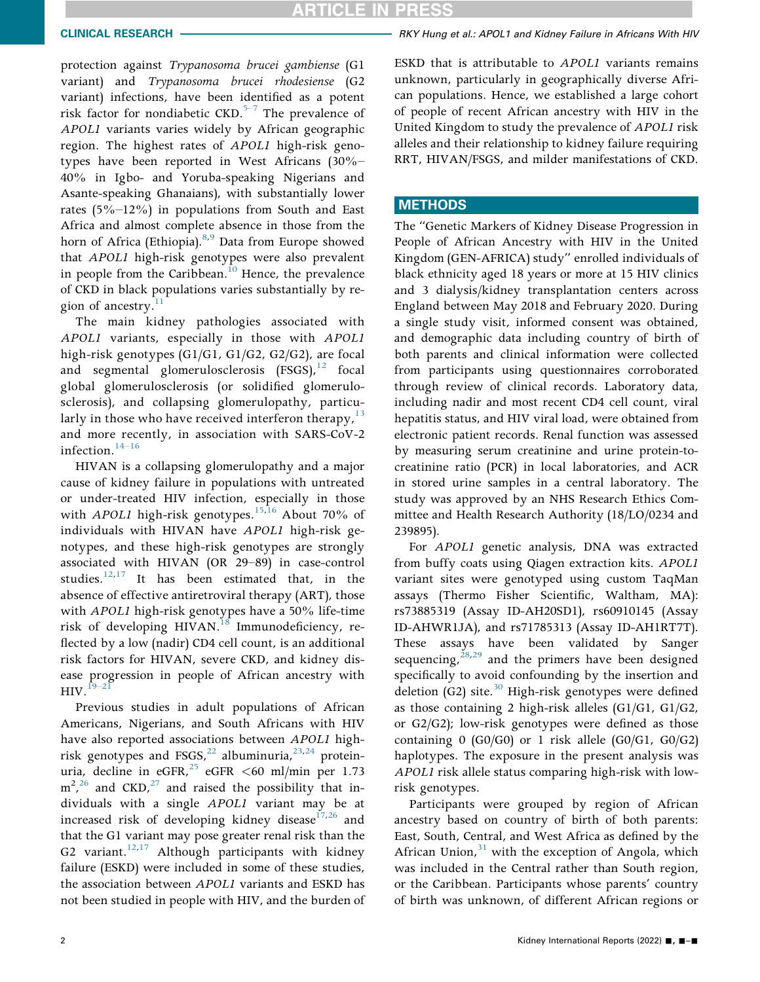protection against Trypanosoma brucei gambiense (G1 variant) and Trypanosoma brucei rhodesiense (G2 variant) infections, have been [iden](#page-9-4)tified as a potent risk factor for nondiabetic  $CKD$ .<sup>5–7</sup> The prevalence of APOL1 variants varies widely by African geographic region. The highest rates of APOL1 high-risk genotypes have been reported in West Africans (30%– 40% in Igbo- and Yoruba-speaking Nigerians and Asante-speaking Ghanaians), with substantially lower rates (5%–12%) in populations from South and East Africa and almost complete absence in those from the horn of Africa (Ethiopia).<sup>[8,](#page-9-5)[9](#page-9-6)</sup> Data from Europe showed that APOL1 high-risk genotypes were also prevalent in people from the Caribbean.<sup>10</sup> Hence, the prevalence of CKD in black populations varies substantially by region of ancestry. $\frac{11}{11}$  $\frac{11}{11}$  $\frac{11}{11}$ 

The main kidney pathologies associated with APOL1 variants, especially in those with APOL1 high-risk genotypes (G1/G1, G1/G2, G2/G2), are focal and segmental glomerulosclerosis  $(FSGS)<sup>12</sup>$  $(FSGS)<sup>12</sup>$  $(FSGS)<sup>12</sup>$  focal global glomerulosclerosis (or solidified glomerulosclerosis), and collapsing glomerulopathy, particularly in those who have received interferon therapy,  $13$ and mor[e rece](#page-9-11)ntly, in association with SARS-CoV-2 infection.<sup>14–16</sup>

HIVAN is a collapsing glomerulopathy and a major cause of kidney failure in populations with untreated or under-treated HIV infection, especially in those with *APOL1* high-risk genotypes.<sup>[15,](#page-9-12)[16](#page-9-13)</sup> About 70% of individuals with HIVAN have APOL1 high-risk genotypes, and these high-risk genotypes are strongly associated with HIVAN (OR 29–89) in case-control studies. $12,17$  $12,17$  It has been estimated that, in the absence of effective antiretroviral therapy (ART), those with APOL1 high-risk genotypes have a 50% life-time risk of developing HIVAN.<sup>[18](#page-9-15)</sup> Immunodeficiency, reflected by a low (nadir) CD4 cell count, is an additional risk factors for HIVAN, severe CKD, and kidney disease progression in people of African ancestry with  $HIV.<sup>19–21</sup>$  $HIV.<sup>19–21</sup>$  $HIV.<sup>19–21</sup>$ 

Previous studies in adult populations of African Americans, Nigerians, and South Africans with HIV have also reported associations between APOL1 highrisk genotypes and FSGS,  $^{22}$  $^{22}$  $^{22}$  albuminuria,  $^{23,24}$  $^{23,24}$  $^{23,24}$  $^{23,24}$  proteinuria, decline in eGFR,  $^{25}$  $^{25}$  $^{25}$  eGFR <60 ml/min per 1.73  $m^2$ ,  $^{26}$  $^{26}$  $^{26}$  and CKD,  $^{27}$  and raised the possibility that individuals with a single APOL1 variant may be at increased risk of developing kidney disease $17,26$  $17,26$  and that the G1 variant may pose greater renal risk than the G2 variant.<sup>[12](#page-9-9)[,17](#page-9-14)</sup> Although participants with kidney failure (ESKD) were included in some of these studies, the association between APOL1 variants and ESKD has not been studied in people with HIV, and the burden of ESKD that is attributable to APOL1 variants remains unknown, particularly in geographically diverse African populations. Hence, we established a large cohort of people of recent African ancestry with HIV in the United Kingdom to study the prevalence of APOL1 risk alleles and their relationship to kidney failure requiring RRT, HIVAN/FSGS, and milder manifestations of CKD.

# **METHODS**

The "Genetic Markers of Kidney Disease Progression in People of African Ancestry with HIV in the United Kingdom (GEN-AFRICA) study" enrolled individuals of black ethnicity aged 18 years or more at 15 HIV clinics and 3 dialysis/kidney transplantation centers across England between May 2018 and February 2020. During a single study visit, informed consent was obtained, and demographic data including country of birth of both parents and clinical information were collected from participants using questionnaires corroborated through review of clinical records. Laboratory data, including nadir and most recent CD4 cell count, viral hepatitis status, and HIV viral load, were obtained from electronic patient records. Renal function was assessed by measuring serum creatinine and urine protein-tocreatinine ratio (PCR) in local laboratories, and ACR in stored urine samples in a central laboratory. The study was approved by an NHS Research Ethics Committee and Health Research Authority (18/LO/0234 and 239895).

For APOL1 genetic analysis, DNA was extracted from buffy coats using Qiagen extraction kits. APOL1 variant sites were genotyped using custom TaqMan assays (Thermo Fisher Scientific, Waltham, MA): rs73885319 (Assay ID-AH20SD1), rs60910145 (Assay ID-AHWR1JA), and rs71785313 (Assay ID-AH1RT7T). These assays have been validated by Sanger sequencing,  $28,29$  $28,29$  and the primers have been designed specifically to avoid confounding by the insertion and deletion (G2) site.<sup>[30](#page-10-9)</sup> High-risk genotypes were defined as those containing 2 high-risk alleles (G1/G1, G1/G2, or G2/G2); low-risk genotypes were defined as those containing  $0$  (G0/G0) or 1 risk allele (G0/G1, G0/G2) haplotypes. The exposure in the present analysis was APOL1 risk allele status comparing high-risk with lowrisk genotypes.

Participants were grouped by region of African ancestry based on country of birth of both parents: East, South, Central, and West Africa as defined by the African Union, $31$  with the exception of Angola, which was included in the Central rather than South region, or the Caribbean. Participants whose parents' country of birth was unknown, of different African regions or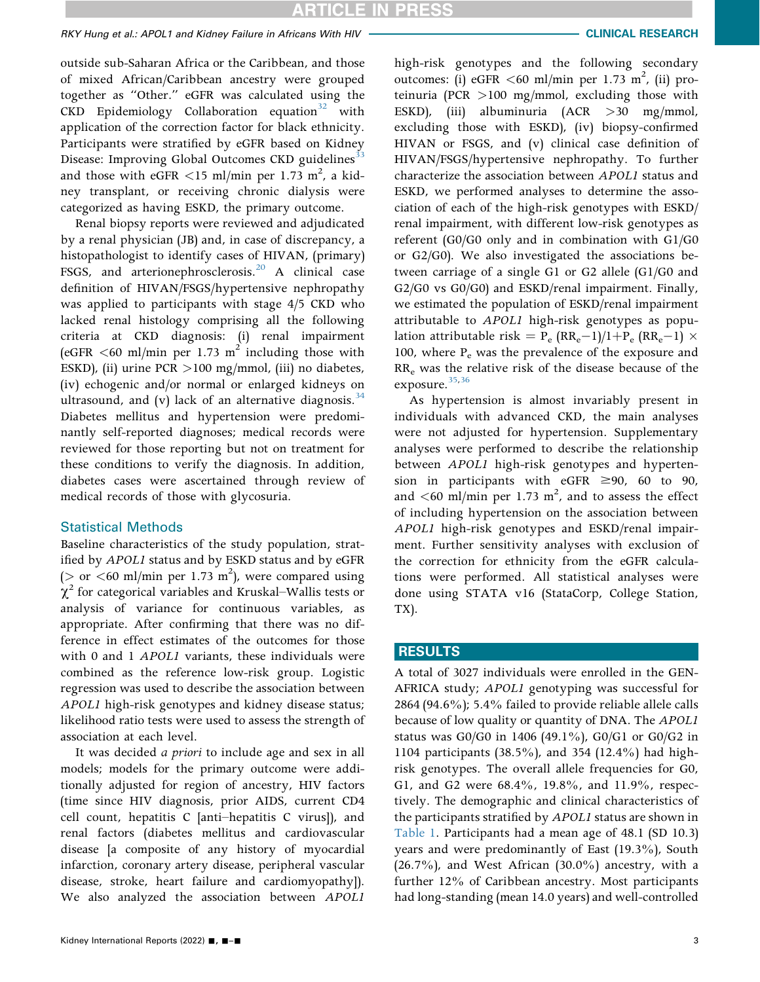# RKY Hung et al.: APOL1 and Kidney Failure in Africans With HIV CLINICAL CLINICAL RESEARCH

outside sub-Saharan Africa or the Caribbean, and those of mixed African/Caribbean ancestry were grouped together as "Other." eGFR was calculated using the  $CKD$  Epidemiology Collaboration equation<sup>[32](#page-10-11)</sup> with application of the correction factor for black ethnicity. Participants were stratified by eGFR based on Kidney Disease: Improving Global Outcomes CKD guidelines<sup>[33](#page-10-12)</sup> and those with eGFR  $\lt 15$  ml/min per 1.73 m<sup>2</sup>, a kidney transplant, or receiving chronic dialysis were categorized as having ESKD, the primary outcome.

Renal biopsy reports were reviewed and adjudicated by a renal physician (JB) and, in case of discrepancy, a histopathologist to identify cases of HIVAN, (primary) FSGS, and arterionephrosclerosis.<sup>20</sup> A clinical case definition of HIVAN/FSGS/hypertensive nephropathy was applied to participants with stage 4/5 CKD who lacked renal histology comprising all the following criteria at CKD diagnosis: (i) renal impairment (eGFR  $\leq 60$  ml/min per 1.73 m<sup>2</sup> including those with ESKD), (ii) urine PCR >100 mg/mmol, (iii) no diabetes, (iv) echogenic and/or normal or enlarged kidneys on ultrasound, and (v) lack of an alternative diagnosis.  $34$ Diabetes mellitus and hypertension were predominantly self-reported diagnoses; medical records were reviewed for those reporting but not on treatment for these conditions to verify the diagnosis. In addition, diabetes cases were ascertained through review of medical records of those with glycosuria.

# Statistical Methods

Baseline characteristics of the study population, stratified by APOL1 status and by ESKD status and by eGFR ( $>$  or <60 ml/min per 1.73 m<sup>2</sup>), were compared using  $\chi^2$  for categorical variables and Kruskal–Wallis tests or analysis of variance for continuous variables, as appropriate. After confirming that there was no difference in effect estimates of the outcomes for those with 0 and 1 APOL1 variants, these individuals were combined as the reference low-risk group. Logistic regression was used to describe the association between APOL1 high-risk genotypes and kidney disease status; likelihood ratio tests were used to assess the strength of association at each level.

It was decided a priori to include age and sex in all models; models for the primary outcome were additionally adjusted for region of ancestry, HIV factors (time since HIV diagnosis, prior AIDS, current CD4 cell count, hepatitis C [anti–hepatitis C virus]), and renal factors (diabetes mellitus and cardiovascular disease [a composite of any history of myocardial infarction, coronary artery disease, peripheral vascular disease, stroke, heart failure and cardiomyopathy]). We also analyzed the association between APOL1

high-risk genotypes and the following secondary outcomes: (i) eGFR <60 ml/min per 1.73 m<sup>2</sup>, (ii) proteinuria (PCR >100 mg/mmol, excluding those with ESKD), (iii) albuminuria (ACR >30 mg/mmol, excluding those with ESKD), (iv) biopsy-confirmed HIVAN or FSGS, and (v) clinical case definition of HIVAN/FSGS/hypertensive nephropathy. To further characterize the association between APOL1 status and ESKD, we performed analyses to determine the association of each of the high-risk genotypes with ESKD/ renal impairment, with different low-risk genotypes as referent (G0/G0 only and in combination with G1/G0 or G2/G0). We also investigated the associations between carriage of a single G1 or G2 allele (G1/G0 and G2/G0 vs G0/G0) and ESKD/renal impairment. Finally, we estimated the population of ESKD/renal impairment attributable to APOL1 high-risk genotypes as population attributable risk =  $P_e$  (RR<sub>e</sub>-1)/1+P<sub>e</sub> (RR<sub>e</sub>-1)  $\times$ 100, where  $P_e$  was the prevalence of the exposure and RRe was the relative risk of the disease because of the exposure.<sup>35,[36](#page-10-16)</sup>

As hypertension is almost invariably present in individuals with advanced CKD, the main analyses were not adjusted for hypertension. Supplementary analyses were performed to describe the relationship between APOL1 high-risk genotypes and hypertension in participants with eGFR  $\geq$ 90, 60 to 90, and  $\lt 60$  ml/min per 1.73 m<sup>2</sup>, and to assess the effect of including hypertension on the association between APOL1 high-risk genotypes and ESKD/renal impairment. Further sensitivity analyses with exclusion of the correction for ethnicity from the eGFR calculations were performed. All statistical analyses were done using STATA v16 (StataCorp, College Station, TX).

### RESULTS

A total of 3027 individuals were enrolled in the GEN-AFRICA study; APOL1 genotyping was successful for 2864 (94.6%); 5.4% failed to provide reliable allele calls because of low quality or quantity of DNA. The APOL1 status was G0/G0 in 1406 (49.1%), G0/G1 or G0/G2 in 1104 participants (38.5%), and 354 (12.4%) had highrisk genotypes. The overall allele frequencies for G0, G1, and G2 were 68.4%, 19.8%, and 11.9%, respectively. The demographic and clinical characteristics of the participants stratified by APOL1 status are shown in [Table 1](#page-3-0). Participants had a mean age of 48.1 (SD 10.3) years and were predominantly of East (19.3%), South  $(26.7%)$ , and West African  $(30.0%)$  ancestry, with a further 12% of Caribbean ancestry. Most participants had long-standing (mean 14.0 years) and well-controlled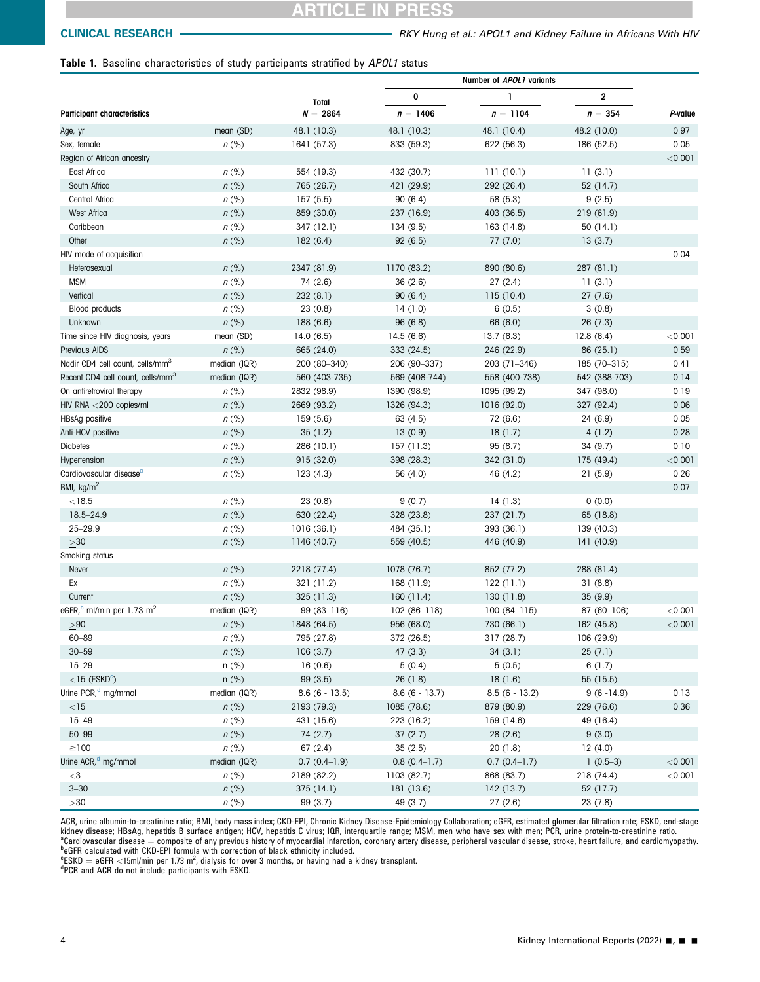# RTICLE IN PRESS

# <span id="page-3-0"></span>Table 1. Baseline characteristics of study participants stratified by APOL1 status

|                                                   |                  | <b>Total</b>    | 0               | 1               | $\overline{\mathbf{c}}$ |           |
|---------------------------------------------------|------------------|-----------------|-----------------|-----------------|-------------------------|-----------|
| <b>Participant characteristics</b>                |                  | $N = 2864$      | $n = 1406$      | $n = 1104$      | $n = 354$               | P-value   |
| Age, yr                                           | mean (SD)        | 48.1 (10.3)     | 48.1 (10.3)     | 48.1 (10.4)     | 48.2 (10.0)             | 0.97      |
| Sex, female                                       | $n$ (%)          | 1641 (57.3)     | 833 (59.3)      | 622 (56.3)      | 186 (52.5)              | 0.05      |
| Region of African ancestry                        |                  |                 |                 |                 |                         | < 0.001   |
| East Africa                                       | $n$ (%)          | 554 (19.3)      | 432 (30.7)      | 111(10.1)       | 11(3.1)                 |           |
| South Africa                                      | $n$ (%)          | 765 (26.7)      | 421 (29.9)      | 292 (26.4)      | 52 (14.7)               |           |
| Central Africa                                    | $n$ (%)          | 157(5.5)        | 90(6.4)         | 58 (5.3)        | 9(2.5)                  |           |
| West Africa                                       | $n$ (%)          | 859 (30.0)      | 237 (16.9)      | 403 (36.5)      | 219 (61.9)              |           |
| Caribbean                                         | $n$ (%)          | 347 (12.1)      | 134 (9.5)       | 163 (14.8)      | 50 (14.1)               |           |
| Other                                             | $n$ (%)          | 182(6.4)        | 92(6.5)         | 77 (7.0)        | 13(3.7)                 |           |
| HIV mode of acquisition                           |                  |                 |                 |                 |                         | 0.04      |
| Heterosexual                                      | $n$ (%)          | 2347 (81.9)     | 1170 (83.2)     | 890 (80.6)      | 287 (81.1)              |           |
| <b>MSM</b>                                        | $n$ (%)          | 74 (2.6)        | 36(2.6)         | 27(2.4)         | 11(3.1)                 |           |
| Vertical                                          | $n$ (%)          | 232 (8.1)       | 90(6.4)         | 115(10.4)       | 27(7.6)                 |           |
| <b>Blood products</b>                             | $n$ (%)          | 23(0.8)         | 14(1.0)         | 6(0.5)          | 3(0.8)                  |           |
| Unknown                                           | $n$ (%)          | 188(6.6)        | 96 (6.8)        | 66 (6.0)        | 26(7.3)                 |           |
| Time since HIV diagnosis, years                   | mean (SD)        | 14.0(6.5)       | 14.5(6.6)       | 13.7(6.3)       | 12.8(6.4)               | $<$ 0.001 |
| Previous AIDS                                     | $n$ (%)          | 665 (24.0)      | 333 (24.5)      | 246 (22.9)      | 86(25.1)                | 0.59      |
| Nadir CD4 cell count, cells/mm <sup>3</sup>       | median (IQR)     | 200 (80-340)    | 206 (90-337)    | 203 (71-346)    | 185 (70-315)            | 0.41      |
| Recent CD4 cell count, cells/mm <sup>3</sup>      | median (IQR)     | 560 (403-735)   | 569 (408-744)   | 558 (400-738)   | 542 (388-703)           | 0.14      |
| On antiretroviral therapy                         | $n$ (%)          | 2832 (98.9)     | 1390 (98.9)     | 1095 (99.2)     | 347 (98.0)              | 0.19      |
| HIV RNA <200 copies/ml                            | $n$ (%)          | 2669 (93.2)     | 1326 (94.3)     | 1016 (92.0)     | 327 (92.4)              | 0.06      |
| HBsAg positive                                    | $n$ (%)          | 159(5.6)        | 63 (4.5)        | 72 (6.6)        | 24 (6.9)                | 0.05      |
| Anti-HCV positive                                 | $n$ (%)          | 35(1.2)         | 13(0.9)         | 18(1.7)         | 4(1.2)                  | 0.28      |
| <b>Diabetes</b>                                   | $n$ (%)          | 286 (10.1)      | 157(11.3)       | 95 (8.7)        | 34(9.7)                 | 0.10      |
| Hypertension                                      | $n$ (%)          | 915 (32.0)      | 398 (28.3)      | 342 (31.0)      | 175 (49.4)              | $<$ 0.001 |
| Cardiovascular disease <sup>a</sup>               | $n$ (%)          | 123(4.3)        | 56 (4.0)        | 46 (4.2)        | 21(5.9)                 | 0.26      |
| BMI, $kg/m2$                                      |                  |                 |                 |                 |                         | 0.07      |
| $<$ 18.5                                          | $n$ (%)          | 23(0.8)         | 9(0.7)          | 14(1.3)         | 0(0.0)                  |           |
| $18.5 - 24.9$                                     | $n$ (%)          | 630 (22.4)      | 328 (23.8)      | 237 (21.7)      | 65 (18.8)               |           |
| $25 - 29.9$                                       | $n$ (%)          | 1016 (36.1)     | 484 (35.1)      | 393 (36.1)      | 139 (40.3)              |           |
| $\geq 30$                                         | $n$ (%)          | 1146 (40.7)     | 559 (40.5)      | 446 (40.9)      | 141 (40.9)              |           |
| Smoking status                                    |                  |                 |                 |                 |                         |           |
| Never                                             | $n$ (%)          | 2218 (77.4)     | 1078 (76.7)     | 852 (77.2)      | 288 (81.4)              |           |
| Ex                                                | $n$ (%)          | 321 (11.2)      | 168 (11.9)      | 122(11.1)       | 31(8.8)                 |           |
| Current                                           | $n$ (%)          | 325 (11.3)      | 160(11.4)       | 130(11.8)       | 35(9.9)                 |           |
| eGFR, <sup>b</sup> ml/min per 1.73 m <sup>2</sup> | median (IQR)     | $99(83 - 116)$  | $102(86-118)$   | $100(84-115)$   | 87 (60-106)             | < 0.001   |
| $>\!\!90$                                         | $n$ (%)          | 1848 (64.5)     | 956 (68.0)      | 730 (66.1)      | 162 (45.8)              | < 0.001   |
| $60 - 89$                                         | $n$ (%)          | 795 (27.8)      | 372 (26.5)      | 317 (28.7)      | 106 (29.9)              |           |
| $30 - 59$                                         |                  | 106(3.7)        | 47(3.3)         | 34(3.1)         | 25(7.1)                 |           |
| $15 - 29$                                         | $n$ (%)<br>n (%) | 16(0.6)         | 5(0.4)          | 5(0.5)          | 6(1.7)                  |           |
| $<$ 15 (ESKD $^{\circ}$ )                         | $n$ (%)          | 99(3.5)         | 26(1.8)         | 18(1.6)         | 55 (15.5)               |           |
| Urine PCR, <sup>d</sup> mg/mmol                   |                  | $8.6(6 - 13.5)$ | $8.6(6 - 13.7)$ | $8.5(6 - 13.2)$ | $9(6 - 14.9)$           | 0.13      |
|                                                   | median (IQR)     |                 |                 |                 |                         |           |
| ${<}15$                                           | $n$ (%)          | 2193 (79.3)     | 1085 (78.6)     | 879 (80.9)      | 229 (76.6)              | 0.36      |
| $15 - 49$                                         | $n$ (%)          | 431 (15.6)      | 223 (16.2)      | 159 (14.6)      | 49 (16.4)               |           |
| $50 - 99$                                         | $n$ (%)          | 74 (2.7)        | 37(2.7)         | 28(2.6)         | 9(3.0)                  |           |
| $\geq$ 100                                        | $n$ (%)          | 67(2.4)         | 35(2.5)         | 20(1.8)         | 12(4.0)                 |           |
| Urine ACR, <sup>d</sup> mg/mmol                   | median (IQR)     | $0.7(0.4-1.9)$  | $0.8(0.4-1.7)$  | $0.7(0.4-1.7)$  | $1(0.5-3)$              | < 0.001   |
| $<$ 3                                             | $n$ (%)          | 2189 (82.2)     | 1103 (82.7)     | 868 (83.7)      | 218 (74.4)              | < 0.001   |
| $3 - 30$                                          | $n$ (%)          | 375(14.1)       | 181(13.6)       | 142 (13.7)      | 52 (17.7)               |           |
| >30                                               | $n$ (%)          | 99 (3.7)        | 49 (3.7)        | 27(2.6)         | 23(7.8)                 |           |

<span id="page-3-1"></span>ACR, urine albumin-to-creatinine ratio; BMI, body mass index; CKD-EPI, Chronic Kidney Disease-Epidemiology Collaboration; eGFR, estimated glomerular filtration rate; ESKD, end-stage kidney disease; HBsAg, hepatitis B surface antigen; HCV, hepatitis C virus; IQR, interquartile range; MSM, men who have sex with men; PCR, urine protein-to-creatinine ratio. <sup>a</sup>Cardiovascular disease = composite of any previous history of myocardial infarction, coronary artery disease, peripheral vascular disease, stroke, heart failure, and cardiomyopathy.<br><sup>b</sup>eGFR calculated with CKD-EPI formu

<span id="page-3-3"></span><span id="page-3-2"></span> ${}^{\text{c}}$ ESKD = eGFR <15ml/min per 1.73 m<sup>2</sup>, dialysis for over 3 months, or having had a kidney transplant.<br><sup>dp</sup>CP and ACP de pet include participants with ESKD

<span id="page-3-4"></span>PCR and ACR do not include participants with ESKD.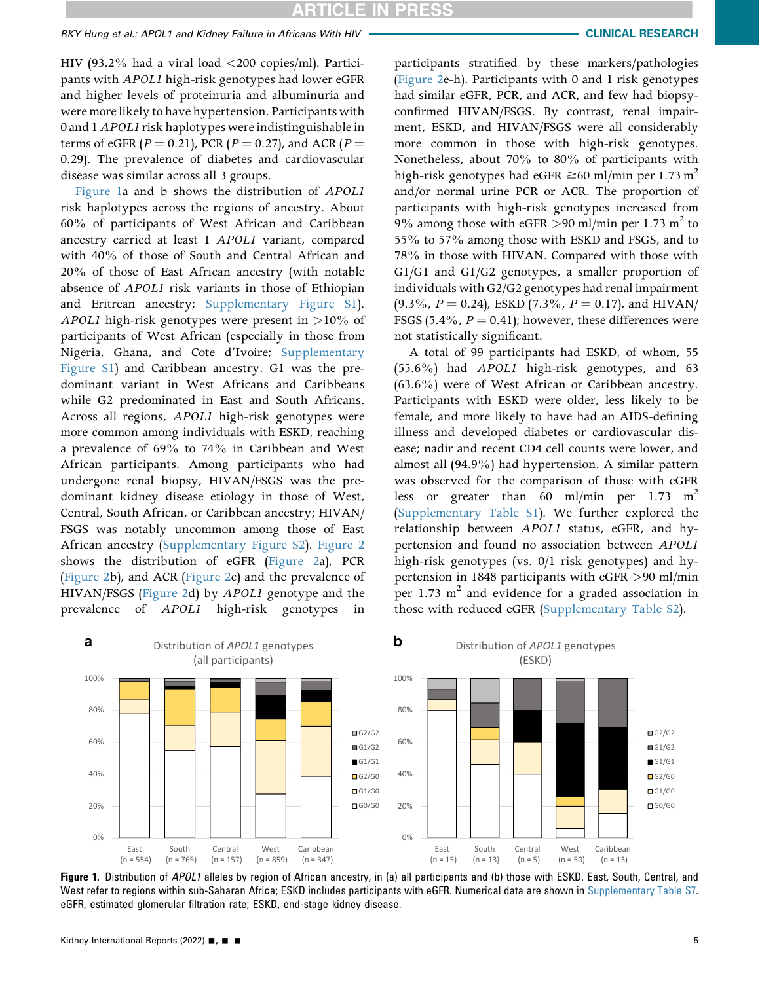# RKY Hung et al.: APOL1 and Kidney Failure in Africans With HIV CLINICAL CLINICAL RESEARCH

HIV (93.2% had a viral load  $\langle 200 \text{ copies/ml} \rangle$ . Participants with APOL1 high-risk genotypes had lower eGFR and higher levels of proteinuria and albuminuria and were more likely to have hypertension. Participants with 0 and 1APOL1 risk haplotypes were indistinguishable in terms of eGFR ( $P = 0.21$ ), PCR ( $P = 0.27$ ), and ACR ( $P =$ 0.29). The prevalence of diabetes and cardiovascular disease was similar across all 3 groups.

[Figure 1a](#page-4-0) and b shows the distribution of APOL1 risk haplotypes across the regions of ancestry. About 60% of participants of West African and Caribbean ancestry carried at least 1 APOL1 variant, compared with 40% of those of South and Central African and 20% of those of East African ancestry (with notable absence of APOL1 risk variants in those of Ethiopian and Eritrean ancestry; [Supplementary Figure S1\)](#page-0-9). APOL1 high-risk genotypes were present in >10% of participants of West African (especially in those from Nigeria, Ghana, and Cote d'Ivoire; [Supplementary](#page-0-9) [Figure S1](#page-0-9)) and Caribbean ancestry. G1 was the predominant variant in West Africans and Caribbeans while G2 predominated in East and South Africans. Across all regions, APOL1 high-risk genotypes were more common among individuals with ESKD, reaching a prevalence of 69% to 74% in Caribbean and West African participants. Among participants who had undergone renal biopsy, HIVAN/FSGS was the predominant kidney disease etiology in those of West, Central, South African, or Caribbean ancestry; HIVAN/ FSGS was notably uncommon among those of East African ancestry [\(Supplementary Figure S2\)](#page-0-9). [Figure 2](#page-5-0) shows the distribution of eGFR [\(Figure 2](#page-5-0)a), PCR ([Figure 2](#page-5-0)b), and ACR ([Figure 2](#page-5-0)c) and the prevalence of HIVAN/FSGS ([Figure 2d](#page-5-0)) by APOL1 genotype and the prevalence of APOL1 high-risk genotypes in participants stratified by these markers/pathologies ([Figure 2](#page-5-0)e-h). Participants with 0 and 1 risk genotypes had similar eGFR, PCR, and ACR, and few had biopsyconfirmed HIVAN/FSGS. By contrast, renal impairment, ESKD, and HIVAN/FSGS were all considerably more common in those with high-risk genotypes. Nonetheless, about 70% to 80% of participants with high-risk genotypes had eGFR  $\geq 60$  ml/min per 1.73 m<sup>2</sup> and/or normal urine PCR or ACR. The proportion of participants with high-risk genotypes increased from 9% among those with eGFR >90 ml/min per 1.73 m<sup>2</sup> to 55% to 57% among those with ESKD and FSGS, and to 78% in those with HIVAN. Compared with those with G1/G1 and G1/G2 genotypes, a smaller proportion of individuals with G2/G2 genotypes had renal impairment  $(9.3\%$ ,  $P = 0.24$ ), ESKD  $(7.3\%$ ,  $P = 0.17$ ), and HIVAN/ FSGS (5.4%,  $P = 0.41$ ); however, these differences were not statistically significant.

A total of 99 participants had ESKD, of whom, 55 (55.6%) had APOL1 high-risk genotypes, and 63 (63.6%) were of West African or Caribbean ancestry. Participants with ESKD were older, less likely to be female, and more likely to have had an AIDS-defining illness and developed diabetes or cardiovascular disease; nadir and recent CD4 cell counts were lower, and almost all (94.9%) had hypertension. A similar pattern was observed for the comparison of those with eGFR less or greater than 60 ml/min per 1.73 m<sup>2</sup> ([Supplementary Table S1](#page-0-9)). We further explored the relationship between APOL1 status, eGFR, and hypertension and found no association between APOL1 high-risk genotypes (vs. 0/1 risk genotypes) and hypertension in 1848 participants with eGFR >90 ml/min per 1.73  $m<sup>2</sup>$  and evidence for a graded association in those with reduced eGFR [\(Supplementary Table S2](#page-0-9)).

<span id="page-4-0"></span>

Figure 1. Distribution of APOL1 alleles by region of African ancestry, in (a) all participants and (b) those with ESKD. East, South, Central, and West refer to regions within sub-Saharan Africa; ESKD includes participants with eGFR. Numerical data are shown in [Supplementary Table S7.](#page-0-9) eGFR, estimated glomerular filtration rate; ESKD, end-stage kidney disease.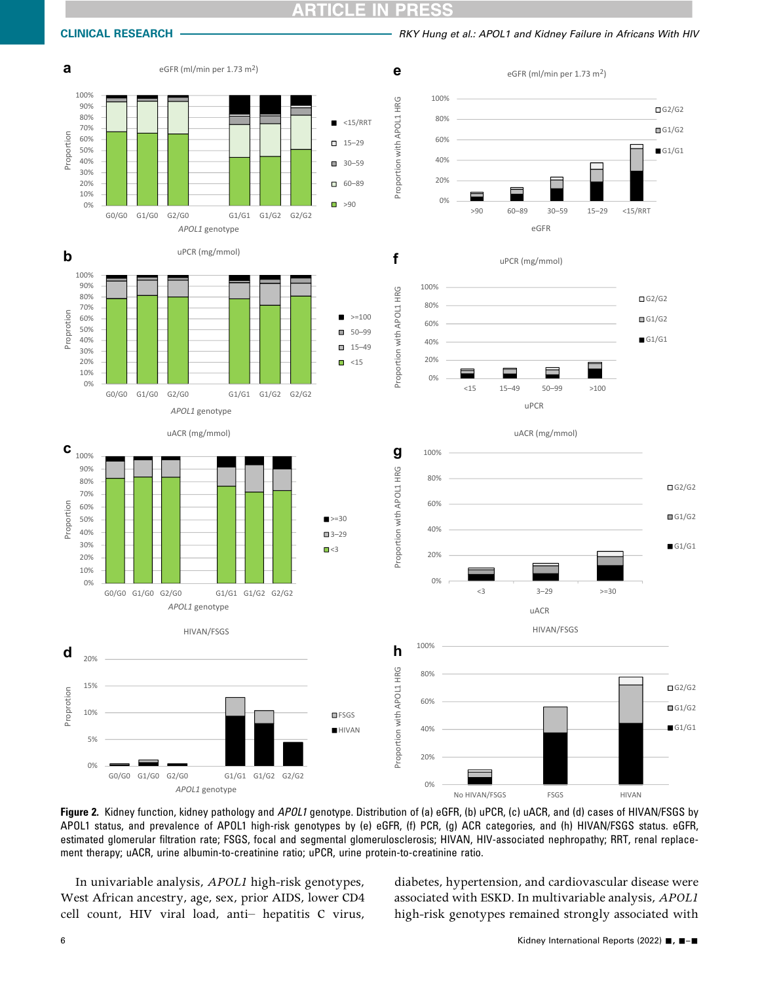#### ICLE IN PRES

<span id="page-5-0"></span>CLINICAL RESEARCH **CHING AND A CONSTRUCT A RESEARCH** RESEARCH RESEARCH RESEARCH RATIO AND RESEARCH **RESEARCH RESEARCH** 







Figure 2. Kidney function, kidney pathology and APOL1 genotype. Distribution of (a) eGFR, (b) uPCR, (c) uACR, and (d) cases of HIVAN/FSGS by APOL1 status, and prevalence of APOL1 high-risk genotypes by (e) eGFR, (f) PCR, (g) ACR categories, and (h) HIVAN/FSGS status. eGFR, estimated glomerular filtration rate; FSGS, focal and segmental glomerulosclerosis; HIVAN, HIV-associated nephropathy; RRT, renal replacement therapy; uACR, urine albumin-to-creatinine ratio; uPCR, urine protein-to-creatinine ratio.

In univariable analysis, APOL1 high-risk genotypes, West African ancestry, age, sex, prior AIDS, lower CD4 cell count, HIV viral load, anti– hepatitis C virus, diabetes, hypertension, and cardiovascular disease were associated with ESKD. In multivariable analysis, APOL1 high-risk genotypes remained strongly associated with

 $\Box$ G2/G2  $\Box$ G1/G2  $G1/G1$ 

 $\Box$ G2/G2

 $\Box$ G1/G2

 $G1/G1$ 

G2/G2  $\Box$ G1/G2  $G1/G1$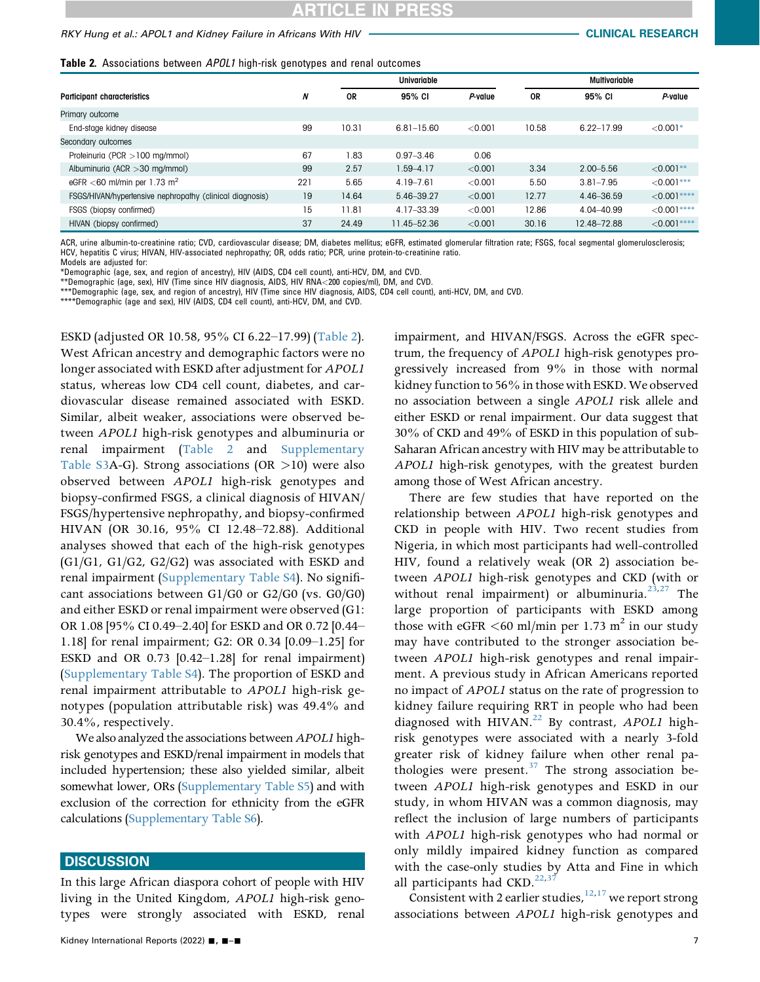#### <span id="page-6-0"></span>Table 2. Associations between APOL1 high-risk genotypes and renal outcomes

|                                                          |     |       | Univariable    |         |           | <b>Multivariable</b> |               |
|----------------------------------------------------------|-----|-------|----------------|---------|-----------|----------------------|---------------|
| <b>Participant characteristics</b>                       | N   | 0R    | 95% CI         | P-value | <b>OR</b> | 95% CI               | P-value       |
| Primary outcome                                          |     |       |                |         |           |                      |               |
| End-stage kidney disease                                 | 99  | 10.31 | $6.81 - 15.60$ | < 0.001 | 10.58     | $6.22 - 17.99$       | $< 0.001*$    |
| Secondary outcomes                                       |     |       |                |         |           |                      |               |
| Proteinuria (PCR > 100 mg/mmol)                          | 67  | 1.83  | $0.97 - 3.46$  | 0.06    |           |                      |               |
| Albuminuria (ACR $>$ 30 mg/mmol)                         | 99  | 2.57  | $1.59 - 4.17$  | < 0.001 | 3.34      | $2.00 - 5.56$        | $< 0.001**$   |
| eGFR $<$ 60 ml/min per 1.73 m <sup>2</sup>               | 221 | 5.65  | $4.19 - 7.61$  | < 0.001 | 5.50      | $3.81 - 7.95$        | $< 0.001$ *** |
| FSGS/HIVAN/hypertensive nephropathy (clinical diagnosis) | 19  | 14.64 | 5.46-39.27     | < 0.001 | 12.77     | 4.46-36.59           | $< 0.001***$  |
| FSGS (biopsy confirmed)                                  | 15  | 11.81 | 4.17-33.39     | < 0.001 | 12.86     | 4.04-40.99           | $<0.001***$   |
| HIVAN (biopsy confirmed)                                 | 37  | 24.49 | 11.45-52.36    | < 0.001 | 30.16     | 12.48-72.88          | $< 0.001***$  |

ACR, urine albumin-to-creatinine ratio; CVD, cardiovascular disease; DM, diabetes mellitus; eGFR, estimated glomerular filtration rate; FSGS, focal segmental glomerulosclerosis; HCV, hepatitis C virus; HIVAN, HIV-associated nephropathy; OR, odds ratio; PCR, urine protein-to-creatinine ratio.

Models are adjusted for:

<span id="page-6-1"></span>\*Demographic (age, sex, and region of ancestry), HIV (AIDS, CD4 cell count), anti-HCV, DM, and CVD.

<span id="page-6-3"></span><span id="page-6-2"></span>\*\*Demographic (age, sex), HIV (Time since HIV diagnosis, AIDS, HIV RNA<200 copies/ml), DM, and CVD.<br>\*\*\*Demographic (age, sex, and region of ancestry), HIV (Time since HIV diagnosis, AIDS, CD4 cell count), anti-HCV, DM, and

<span id="page-6-4"></span>\*\*\*\*Demographic (age and sex), HIV (AIDS, CD4 cell count), anti-HCV, DM, and CVD.

ESKD (adjusted OR 10.58, 95% CI 6.22–17.99) ([Table 2\)](#page-6-0). West African ancestry and demographic factors were no longer associated with ESKD after adjustment for APOL1 status, whereas low CD4 cell count, diabetes, and cardiovascular disease remained associated with ESKD. Similar, albeit weaker, associations were observed between APOL1 high-risk genotypes and albuminuria or renal impairment [\(Table 2](#page-6-0) and [Supplementary](#page-0-9) [Table S3A](#page-0-9)-G). Strong associations (OR  $>10$ ) were also observed between APOL1 high-risk genotypes and biopsy-confirmed FSGS, a clinical diagnosis of HIVAN/ FSGS/hypertensive nephropathy, and biopsy-confirmed HIVAN (OR 30.16, 95% CI 12.48–72.88). Additional analyses showed that each of the high-risk genotypes (G1/G1, G1/G2, G2/G2) was associated with ESKD and renal impairment ([Supplementary Table S4\)](#page-0-9). No significant associations between G1/G0 or G2/G0 (vs. G0/G0) and either ESKD or renal impairment were observed (G1: OR 1.08 [95% CI 0.49–2.40] for ESKD and OR 0.72 [0.44– 1.18] for renal impairment; G2: OR 0.34 [0.09–1.25] for ESKD and OR 0.73 [0.42–1.28] for renal impairment) ([Supplementary Table S4](#page-0-9)). The proportion of ESKD and renal impairment attributable to APOL1 high-risk genotypes (population attributable risk) was 49.4% and 30.4%, respectively.

We also analyzed the associations between APOL1 highrisk genotypes and ESKD/renal impairment in models that included hypertension; these also yielded similar, albeit somewhat lower, ORs [\(Supplementary Table S5\)](#page-0-9) and with exclusion of the correction for ethnicity from the eGFR calculations ([Supplementary Table S6\)](#page-0-9).

#### **DISCUSSION**

In this large African diaspora cohort of people with HIV living in the United Kingdom, APOL1 high-risk genotypes were strongly associated with ESKD, renal impairment, and HIVAN/FSGS. Across the eGFR spectrum, the frequency of APOL1 high-risk genotypes progressively increased from 9% in those with normal kidney function to 56% in those with ESKD. We observed no association between a single APOL1 risk allele and either ESKD or renal impairment. Our data suggest that 30% of CKD and 49% of ESKD in this population of sub-Saharan African ancestry with HIV may be attributable to APOL1 high-risk genotypes, with the greatest burden among those of West African ancestry.

There are few studies that have reported on the relationship between APOL1 high-risk genotypes and CKD in people with HIV. Two recent studies from Nigeria, in which most participants had well-controlled HIV, found a relatively weak (OR 2) association between APOL1 high-risk genotypes and CKD (with or without renal impairment) or albuminuria.<sup>[23](#page-10-2),[27](#page-10-6)</sup> The large proportion of participants with ESKD among those with eGFR  $\leq 60$  ml/min per 1.73 m<sup>2</sup> in our study may have contributed to the stronger association between APOL1 high-risk genotypes and renal impairment. A previous study in African Americans reported no impact of APOL1 status on the rate of progression to kidney failure requiring RRT in people who had been diagnosed with HIVAN.<sup>22</sup> By contrast, APOL1 highrisk genotypes were associated with a nearly 3-fold greater risk of kidney failure when other renal pathologies were present. $37$  The strong association between APOL1 high-risk genotypes and ESKD in our study, in whom HIVAN was a common diagnosis, may reflect the inclusion of large numbers of participants with APOL1 high-risk genotypes who had normal or only mildly impaired kidney function as compared with the case-only studies by Atta and Fine in which all participants had CKD. $^{22,37}$  $^{22,37}$  $^{22,37}$  $^{22,37}$ 

Consistent with 2 earlier studies,  $12,17$  $12,17$  we report strong associations between APOL1 high-risk genotypes and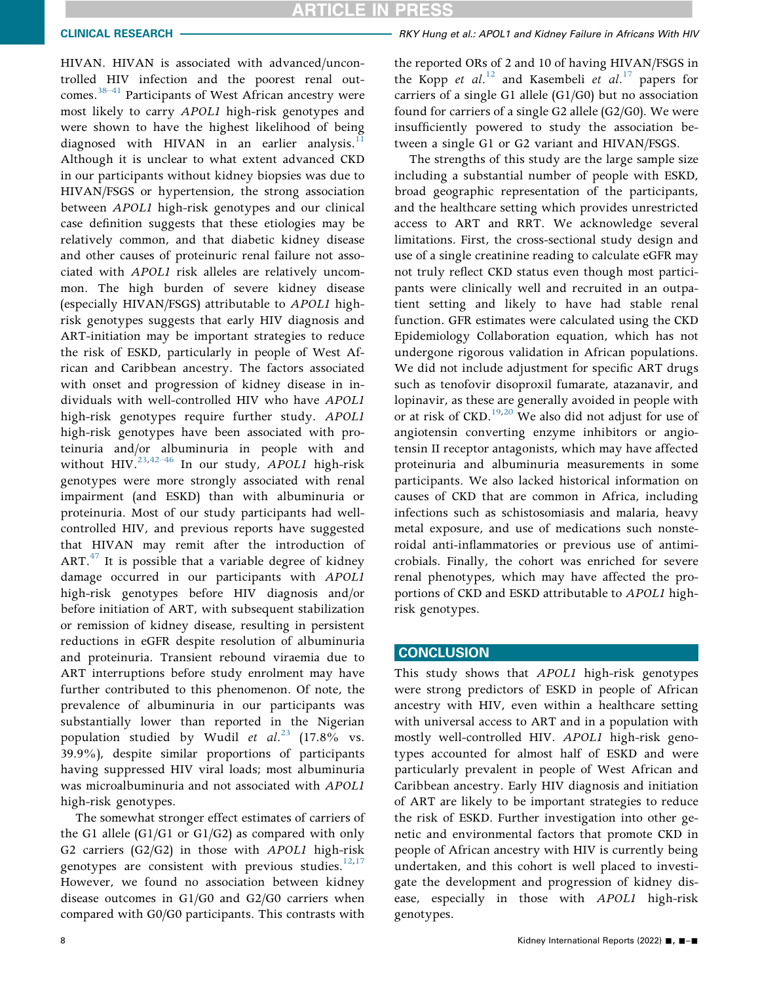HIVAN. HIVAN is associated with advanced/uncontrolled HIV infection and the poorest renal outcomes.<sup>38–41</sup> Participants of West African ancestry were most likely to carry APOL1 high-risk genotypes and were shown to have the highest likelihood of being diagnosed with HIVAN in an earlier analysis.<sup>1</sup> Although it is unclear to what extent advanced CKD in our participants without kidney biopsies was due to HIVAN/FSGS or hypertension, the strong association between APOL1 high-risk genotypes and our clinical case definition suggests that these etiologies may be relatively common, and that diabetic kidney disease and other causes of proteinuric renal failure not associated with APOL1 risk alleles are relatively uncommon. The high burden of severe kidney disease (especially HIVAN/FSGS) attributable to APOL1 highrisk genotypes suggests that early HIV diagnosis and ART-initiation may be important strategies to reduce the risk of ESKD, particularly in people of West African and Caribbean ancestry. The factors associated with onset and progression of kidney disease in individuals with well-controlled HIV who have APOL1 high-risk genotypes require further study. APOL1 high-risk genotypes have been associated with proteinuria and/o[r alb](#page-10-19)uminuria in people with and without HIV.<sup>[23](#page-10-2),42-46</sup> In our study, APOL1 high-risk genotypes were more strongly associated with renal impairment (and ESKD) than with albuminuria or proteinuria. Most of our study participants had wellcontrolled HIV, and previous reports have suggested that HIVAN may remit after the introduction of ART. $47$  It is possible that a variable degree of kidney damage occurred in our participants with APOL1 high-risk genotypes before HIV diagnosis and/or before initiation of ART, with subsequent stabilization or remission of kidney disease, resulting in persistent reductions in eGFR despite resolution of albuminuria and proteinuria. Transient rebound viraemia due to ART interruptions before study enrolment may have further contributed to this phenomenon. Of note, the prevalence of albuminuria in our participants was substantially lower than reported in the Nigerian population studied by Wudil et  $al.^{23}$  $al.^{23}$  $al.^{23}$  (17.8% vs. 39.9%), despite similar proportions of participants having suppressed HIV viral loads; most albuminuria was microalbuminuria and not associated with APOL1 high-risk genotypes.

The somewhat stronger effect estimates of carriers of the G1 allele (G1/G1 or G1/G2) as compared with only G2 carriers (G2/G2) in those with APOL1 high-risk genotypes are consistent with previous studies. $12,17$  $12,17$ However, we found no association between kidney disease outcomes in G1/G0 and G2/G0 carriers when compared with G0/G0 participants. This contrasts with

the reported ORs of 2 and 10 of having HIVAN/FSGS in the Kopp et al.<sup>[12](#page-9-9)</sup> and Kasembeli et al.<sup>[17](#page-9-14)</sup> papers for carriers of a single G1 allele (G1/G0) but no association found for carriers of a single G2 allele (G2/G0). We were insufficiently powered to study the association between a single G1 or G2 variant and HIVAN/FSGS.

The strengths of this study are the large sample size including a substantial number of people with ESKD, broad geographic representation of the participants, and the healthcare setting which provides unrestricted access to ART and RRT. We acknowledge several limitations. First, the cross-sectional study design and use of a single creatinine reading to calculate eGFR may not truly reflect CKD status even though most participants were clinically well and recruited in an outpatient setting and likely to have had stable renal function. GFR estimates were calculated using the CKD Epidemiology Collaboration equation, which has not undergone rigorous validation in African populations. We did not include adjustment for specific ART drugs such as tenofovir disoproxil fumarate, atazanavir, and lopinavir, as these are generally avoided in people with or at risk of CKD.<sup>[19,](#page-10-0)[20](#page-10-13)</sup> We also did not adjust for use of angiotensin converting enzyme inhibitors or angiotensin II receptor antagonists, which may have affected proteinuria and albuminuria measurements in some participants. We also lacked historical information on causes of CKD that are common in Africa, including infections such as schistosomiasis and malaria, heavy metal exposure, and use of medications such nonsteroidal anti-inflammatories or previous use of antimicrobials. Finally, the cohort was enriched for severe renal phenotypes, which may have affected the proportions of CKD and ESKD attributable to APOL1 highrisk genotypes.

### **CONCLUSION**

This study shows that APOL1 high-risk genotypes were strong predictors of ESKD in people of African ancestry with HIV, even within a healthcare setting with universal access to ART and in a population with mostly well-controlled HIV. APOL1 high-risk genotypes accounted for almost half of ESKD and were particularly prevalent in people of West African and Caribbean ancestry. Early HIV diagnosis and initiation of ART are likely to be important strategies to reduce the risk of ESKD. Further investigation into other genetic and environmental factors that promote CKD in people of African ancestry with HIV is currently being undertaken, and this cohort is well placed to investigate the development and progression of kidney disease, especially in those with APOL1 high-risk genotypes.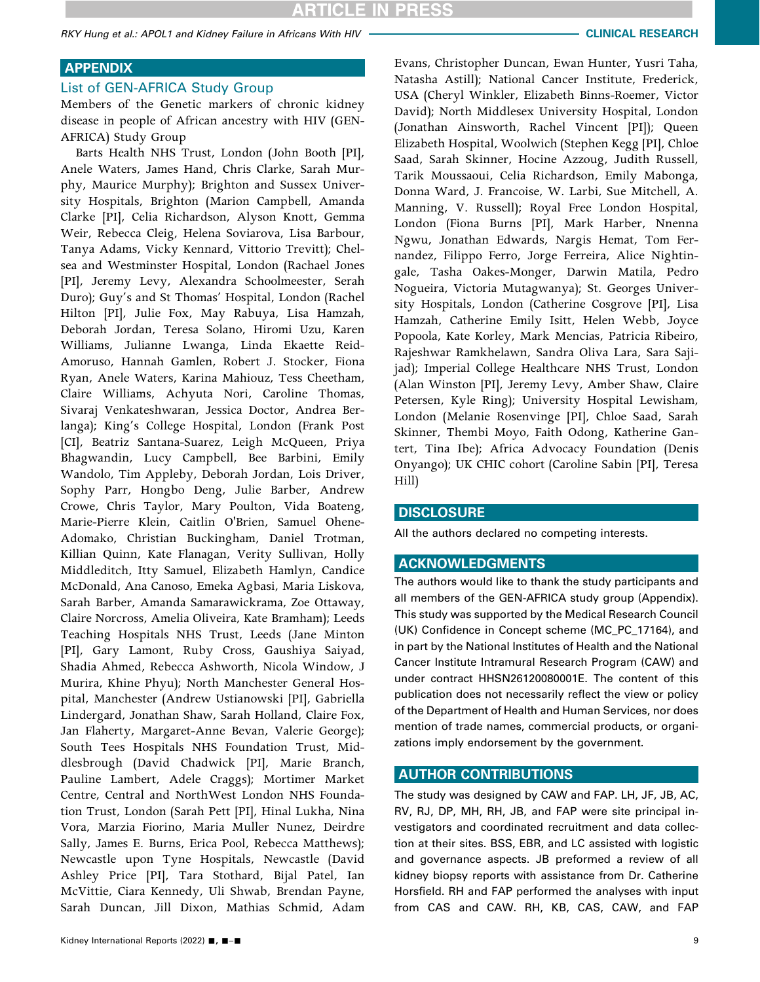RKY Hung et al.: APOL1 and Kidney Failure in Africans With HIV CLINICAL RESEARCH CLINICAL RESEARCH

# APPENDIX

### List of GEN-AFRICA Study Group

Members of the Genetic markers of chronic kidney disease in people of African ancestry with HIV (GEN-AFRICA) Study Group

Barts Health NHS Trust, London (John Booth [PI], Anele Waters, James Hand, Chris Clarke, Sarah Murphy, Maurice Murphy); Brighton and Sussex University Hospitals, Brighton (Marion Campbell, Amanda Clarke [PI], Celia Richardson, Alyson Knott, Gemma Weir, Rebecca Cleig, Helena Soviarova, Lisa Barbour, Tanya Adams, Vicky Kennard, Vittorio Trevitt); Chelsea and Westminster Hospital, London (Rachael Jones [PI], Jeremy Levy, Alexandra Schoolmeester, Serah Duro); Guy's and St Thomas' Hospital, London (Rachel Hilton [PI], Julie Fox, May Rabuya, Lisa Hamzah, Deborah Jordan, Teresa Solano, Hiromi Uzu, Karen Williams, Julianne Lwanga, Linda Ekaette Reid-Amoruso, Hannah Gamlen, Robert J. Stocker, Fiona Ryan, Anele Waters, Karina Mahiouz, Tess Cheetham, Claire Williams, Achyuta Nori, Caroline Thomas, Sivaraj Venkateshwaran, Jessica Doctor, Andrea Berlanga); King's College Hospital, London (Frank Post [CI], Beatriz Santana-Suarez, Leigh McQueen, Priya Bhagwandin, Lucy Campbell, Bee Barbini, Emily Wandolo, Tim Appleby, Deborah Jordan, Lois Driver, Sophy Parr, Hongbo Deng, Julie Barber, Andrew Crowe, Chris Taylor, Mary Poulton, Vida Boateng, Marie-Pierre Klein, Caitlin O'Brien, Samuel Ohene-Adomako, Christian Buckingham, Daniel Trotman, Killian Quinn, Kate Flanagan, Verity Sullivan, Holly Middleditch, Itty Samuel, Elizabeth Hamlyn, Candice McDonald, Ana Canoso, Emeka Agbasi, Maria Liskova, Sarah Barber, Amanda Samarawickrama, Zoe Ottaway, Claire Norcross, Amelia Oliveira, Kate Bramham); Leeds Teaching Hospitals NHS Trust, Leeds (Jane Minton [PI], Gary Lamont, Ruby Cross, Gaushiya Saiyad, Shadia Ahmed, Rebecca Ashworth, Nicola Window, J Murira, Khine Phyu); North Manchester General Hospital, Manchester (Andrew Ustianowski [PI], Gabriella Lindergard, Jonathan Shaw, Sarah Holland, Claire Fox, Jan Flaherty, Margaret-Anne Bevan, Valerie George); South Tees Hospitals NHS Foundation Trust, Middlesbrough (David Chadwick [PI], Marie Branch, Pauline Lambert, Adele Craggs); Mortimer Market Centre, Central and NorthWest London NHS Foundation Trust, London (Sarah Pett [PI], Hinal Lukha, Nina Vora, Marzia Fiorino, Maria Muller Nunez, Deirdre Sally, James E. Burns, Erica Pool, Rebecca Matthews); Newcastle upon Tyne Hospitals, Newcastle (David Ashley Price [PI], Tara Stothard, Bijal Patel, Ian McVittie, Ciara Kennedy, Uli Shwab, Brendan Payne, Sarah Duncan, Jill Dixon, Mathias Schmid, Adam

Evans, Christopher Duncan, Ewan Hunter, Yusri Taha, Natasha Astill); National Cancer Institute, Frederick, USA (Cheryl Winkler, Elizabeth Binns-Roemer, Victor David); North Middlesex University Hospital, London (Jonathan Ainsworth, Rachel Vincent [PI]); Queen Elizabeth Hospital, Woolwich (Stephen Kegg [PI], Chloe Saad, Sarah Skinner, Hocine Azzoug, Judith Russell, Tarik Moussaoui, Celia Richardson, Emily Mabonga, Donna Ward, J. Francoise, W. Larbi, Sue Mitchell, A. Manning, V. Russell); Royal Free London Hospital, London (Fiona Burns [PI], Mark Harber, Nnenna Ngwu, Jonathan Edwards, Nargis Hemat, Tom Fernandez, Filippo Ferro, Jorge Ferreira, Alice Nightingale, Tasha Oakes-Monger, Darwin Matila, Pedro Nogueira, Victoria Mutagwanya); St. Georges University Hospitals, London (Catherine Cosgrove [PI], Lisa Hamzah, Catherine Emily Isitt, Helen Webb, Joyce Popoola, Kate Korley, Mark Mencias, Patricia Ribeiro, Rajeshwar Ramkhelawn, Sandra Oliva Lara, Sara Sajijad); Imperial College Healthcare NHS Trust, London (Alan Winston [PI], Jeremy Levy, Amber Shaw, Claire Petersen, Kyle Ring); University Hospital Lewisham, London (Melanie Rosenvinge [PI], Chloe Saad, Sarah Skinner, Thembi Moyo, Faith Odong, Katherine Gantert, Tina Ibe); Africa Advocacy Foundation (Denis Onyango); UK CHIC cohort (Caroline Sabin [PI], Teresa Hill)

### **DISCLOSURE**

All the authors declared no competing interests.

#### ACKNOWLEDGMENTS

The authors would like to thank the study participants and all members of the GEN-AFRICA study group (Appendix). This study was supported by the Medical Research Council (UK) Confidence in Concept scheme (MC\_PC\_17164), and in part by the National Institutes of Health and the National Cancer Institute Intramural Research Program (CAW) and under contract HHSN26120080001E. The content of this publication does not necessarily reflect the view or policy of the Department of Health and Human Services, nor does mention of trade names, commercial products, or organizations imply endorsement by the government.

#### AUTHOR CONTRIBUTIONS

The study was designed by CAW and FAP. LH, JF, JB, AC, RV, RJ, DP, MH, RH, JB, and FAP were site principal investigators and coordinated recruitment and data collection at their sites. BSS, EBR, and LC assisted with logistic and governance aspects. JB preformed a review of all kidney biopsy reports with assistance from Dr. Catherine Horsfield. RH and FAP performed the analyses with input from CAS and CAW. RH, KB, CAS, CAW, and FAP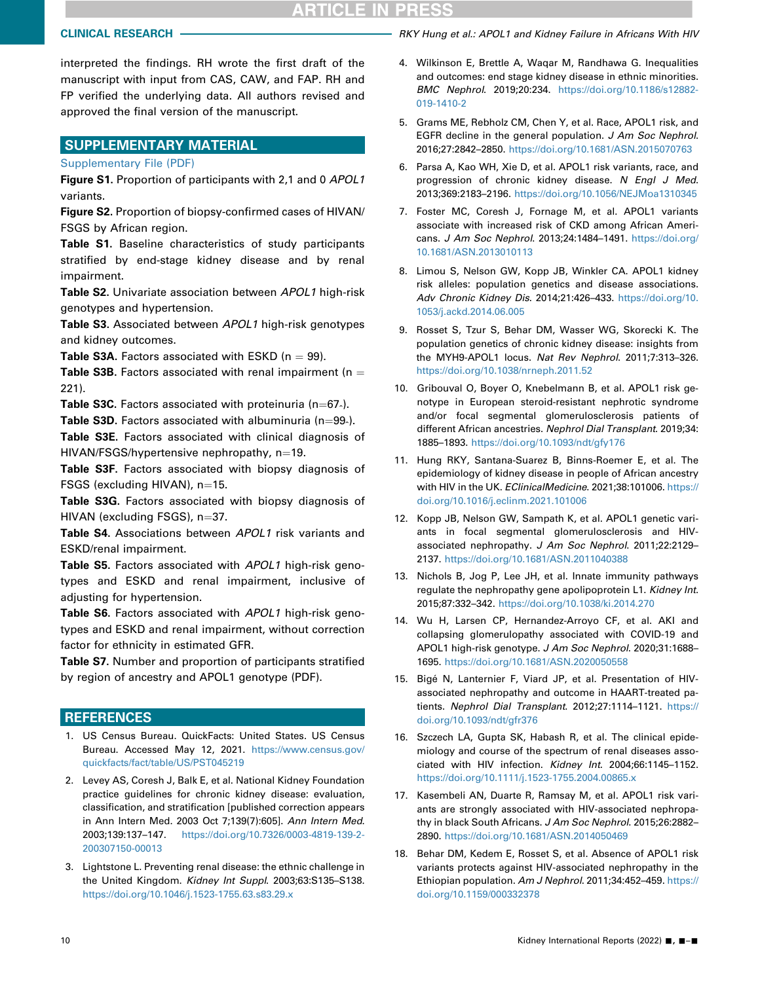# **ARTICLE IN PRESS**

interpreted the findings. RH wrote the first draft of the manuscript with input from CAS, CAW, and FAP. RH and FP verified the underlying data. All authors revised and approved the final version of the manuscript.

# SUPPLEMENTARY MATERIAL

[Supplementary File \(PDF\)](https://doi.org/10.1016/j.ekir.2022.01.1054)

Figure S1. Proportion of participants with 2,1 and 0 APOL1 variants.

Figure S2. Proportion of biopsy-confirmed cases of HIVAN/ FSGS by African region.

Table S1. Baseline characteristics of study participants stratified by end-stage kidney disease and by renal impairment.

Table S2. Univariate association between APOL1 high-risk genotypes and hypertension.

Table S3. Associated between APOL1 high-risk genotypes and kidney outcomes.

**Table S3A.** Factors associated with ESKD ( $n = 99$ ).

**Table S3B.** Factors associated with renal impairment ( $n =$ 221).

**Table S3C.** Factors associated with proteinuria (n=67 $\cdot$ ).

**Table S3D.** Factors associated with albuminuria (n $=$ 99 $\cdot$ ).

Table S3E. Factors associated with clinical diagnosis of  $HIVAN/FSGS/hypertensive nephropathy, n=19.$ 

Table S3F. Factors associated with biopsy diagnosis of FSGS (excluding HIVAN),  $n=15$ .

Table S3G. Factors associated with biopsy diagnosis of  $HIVAN$  (excluding FSGS),  $n=37$ .

Table S4. Associations between APOL1 risk variants and ESKD/renal impairment.

Table S5. Factors associated with APOL1 high-risk genotypes and ESKD and renal impairment, inclusive of adjusting for hypertension.

Table S6. Factors associated with APOL1 high-risk genotypes and ESKD and renal impairment, without correction factor for ethnicity in estimated GFR.

Table S7. Number and proportion of participants stratified by region of ancestry and APOL1 genotype (PDF).

# **REFERENCES**

- <span id="page-9-0"></span>1. US Census Bureau. QuickFacts: United States. US Census Bureau. Accessed May 12, 2021. [https://www.census.gov/](https://www.census.gov/quickfacts/fact/table/US/PST045219) [quickfacts/fact/table/US/PST045219](https://www.census.gov/quickfacts/fact/table/US/PST045219)
- <span id="page-9-1"></span>2. Levey AS, Coresh J, Balk E, et al. National Kidney Foundation practice guidelines for chronic kidney disease: evaluation, classification, and stratification [published correction appears in Ann Intern Med. 2003 Oct 7;139(7):605]. Ann Intern Med. 2003;139:137–147. [https://doi.org/10.7326/0003-4819-139-2-](https://doi.org/10.7326/0003-4819-139-2-200307150-00013) [200307150-00013](https://doi.org/10.7326/0003-4819-139-2-200307150-00013)
- <span id="page-9-2"></span>3. Lightstone L. Preventing renal disease: the ethnic challenge in the United Kingdom. Kidney Int Suppl. 2003;63:S135–S138. <https://doi.org/10.1046/j.1523-1755.63.s83.29.x>

CLINICAL RESEARCH **CHING AND A CONSUMITY CONTROLLY** RKY Hung et al.: APOL1 and Kidney Failure in Africans With HIV

- <span id="page-9-3"></span>4. Wilkinson E, Brettle A, Waqar M, Randhawa G. Inequalities and outcomes: end stage kidney disease in ethnic minorities. BMC Nephrol. 2019;20:234. [https://doi.org/10.1186/s12882-](https://doi.org/10.1186/s12882-019-1410-2) [019-1410-2](https://doi.org/10.1186/s12882-019-1410-2)
- <span id="page-9-4"></span>5. Grams ME, Rebholz CM, Chen Y, et al. Race, APOL1 risk, and EGFR decline in the general population. J Am Soc Nephrol. 2016;27:2842–2850. <https://doi.org/10.1681/ASN.2015070763>
- 6. Parsa A, Kao WH, Xie D, et al. APOL1 risk variants, race, and progression of chronic kidney disease. N Engl J Med. 2013;369:2183–2196. <https://doi.org/10.1056/NEJMoa1310345>
- 7. Foster MC, Coresh J, Fornage M, et al. APOL1 variants associate with increased risk of CKD among African Americans. J Am Soc Nephrol. 2013;24:1484–1491. [https://doi.org/](https://doi.org/10.1681/ASN.2013010113) [10.1681/ASN.2013010113](https://doi.org/10.1681/ASN.2013010113)
- <span id="page-9-5"></span>8. Limou S, Nelson GW, Kopp JB, Winkler CA. APOL1 kidney risk alleles: population genetics and disease associations. Adv Chronic Kidney Dis. 2014;21:426–433. [https://doi.org/10.](https://doi.org/10.1053/j.ackd.2014.06.005) [1053/j.ackd.2014.06.005](https://doi.org/10.1053/j.ackd.2014.06.005)
- <span id="page-9-6"></span>9. Rosset S, Tzur S, Behar DM, Wasser WG, Skorecki K. The population genetics of chronic kidney disease: insights from the MYH9-APOL1 locus. Nat Rev Nephrol. 2011;7:313–326. <https://doi.org/10.1038/nrneph.2011.52>
- <span id="page-9-7"></span>10. Gribouval O, Boyer O, Knebelmann B, et al. APOL1 risk genotype in European steroid-resistant nephrotic syndrome and/or focal segmental glomerulosclerosis patients of different African ancestries. Nephrol Dial Transplant. 2019;34: 1885–1893. <https://doi.org/10.1093/ndt/gfy176>
- <span id="page-9-8"></span>11. Hung RKY, Santana-Suarez B, Binns-Roemer E, et al. The epidemiology of kidney disease in people of African ancestry with HIV in the UK. EClinicalMedicine. 2021;38:101006. [https://](https://doi.org/10.1016/j.eclinm.2021.101006) [doi.org/10.1016/j.eclinm.2021.101006](https://doi.org/10.1016/j.eclinm.2021.101006)
- <span id="page-9-9"></span>12. Kopp JB, Nelson GW, Sampath K, et al. APOL1 genetic variants in focal segmental glomerulosclerosis and HIVassociated nephropathy. J Am Soc Nephrol. 2011;22:2129– 2137. <https://doi.org/10.1681/ASN.2011040388>
- <span id="page-9-10"></span>13. Nichols B, Jog P, Lee JH, et al. Innate immunity pathways regulate the nephropathy gene apolipoprotein L1. Kidney Int. 2015;87:332–342. <https://doi.org/10.1038/ki.2014.270>
- <span id="page-9-11"></span>14. Wu H, Larsen CP, Hernandez-Arroyo CF, et al. AKI and collapsing glomerulopathy associated with COVID-19 and APOL1 high-risk genotype. J Am Soc Nephrol. 2020;31:1688-1695. <https://doi.org/10.1681/ASN.2020050558>
- <span id="page-9-12"></span>15. Bigé N, Lanternier F, Viard JP, et al. Presentation of HIVassociated nephropathy and outcome in HAART-treated patients. Nephrol Dial Transplant. 2012;27:1114–1121. [https://](https://doi.org/10.1093/ndt/gfr376) [doi.org/10.1093/ndt/gfr376](https://doi.org/10.1093/ndt/gfr376)
- <span id="page-9-13"></span>16. Szczech LA, Gupta SK, Habash R, et al. The clinical epidemiology and course of the spectrum of renal diseases associated with HIV infection. Kidney Int. 2004;66:1145–1152. <https://doi.org/10.1111/j.1523-1755.2004.00865.x>
- <span id="page-9-14"></span>17. Kasembeli AN, Duarte R, Ramsay M, et al. APOL1 risk variants are strongly associated with HIV-associated nephropathy in black South Africans. J Am Soc Nephrol. 2015;26:2882-2890. <https://doi.org/10.1681/ASN.2014050469>
- <span id="page-9-15"></span>18. Behar DM, Kedem E, Rosset S, et al. Absence of APOL1 risk variants protects against HIV-associated nephropathy in the Ethiopian population. Am J Nephrol. 2011;34:452–459. [https://](https://doi.org/10.1159/000332378) [doi.org/10.1159/000332378](https://doi.org/10.1159/000332378)